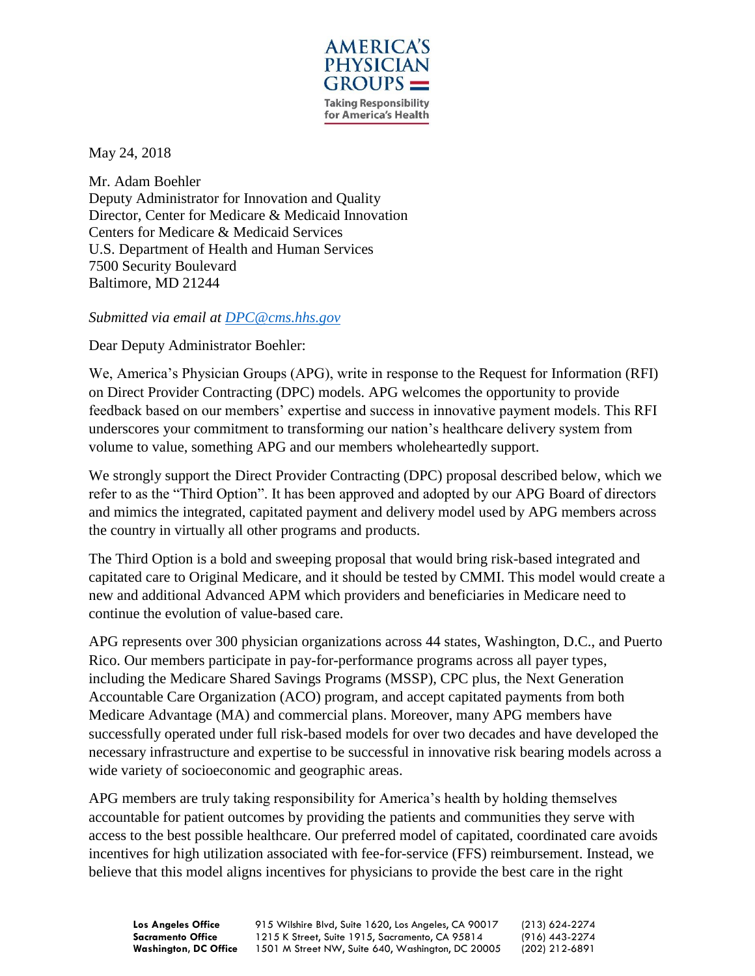

May 24, 2018

Mr. Adam Boehler Deputy Administrator for Innovation and Quality Director, Center for Medicare & Medicaid Innovation Centers for Medicare & Medicaid Services U.S. Department of Health and Human Services 7500 Security Boulevard Baltimore, MD 21244

*Submitted via email at [DPC@cms.hhs.gov](mailto:DPC@cms.hhs.gov)*

Dear Deputy Administrator Boehler:

We, America's Physician Groups (APG), write in response to the Request for Information (RFI) on Direct Provider Contracting (DPC) models. APG welcomes the opportunity to provide feedback based on our members' expertise and success in innovative payment models. This RFI underscores your commitment to transforming our nation's healthcare delivery system from volume to value, something APG and our members wholeheartedly support.

We strongly support the Direct Provider Contracting (DPC) proposal described below, which we refer to as the "Third Option". It has been approved and adopted by our APG Board of directors and mimics the integrated, capitated payment and delivery model used by APG members across the country in virtually all other programs and products.

The Third Option is a bold and sweeping proposal that would bring risk-based integrated and capitated care to Original Medicare, and it should be tested by CMMI. This model would create a new and additional Advanced APM which providers and beneficiaries in Medicare need to continue the evolution of value-based care.

APG represents over 300 physician organizations across 44 states, Washington, D.C., and Puerto Rico. Our members participate in pay-for-performance programs across all payer types, including the Medicare Shared Savings Programs (MSSP), CPC plus, the Next Generation Accountable Care Organization (ACO) program, and accept capitated payments from both Medicare Advantage (MA) and commercial plans. Moreover, many APG members have successfully operated under full risk-based models for over two decades and have developed the necessary infrastructure and expertise to be successful in innovative risk bearing models across a wide variety of socioeconomic and geographic areas.

APG members are truly taking responsibility for America's health by holding themselves accountable for patient outcomes by providing the patients and communities they serve with access to the best possible healthcare. Our preferred model of capitated, coordinated care avoids incentives for high utilization associated with fee-for-service (FFS) reimbursement. Instead, we believe that this model aligns incentives for physicians to provide the best care in the right

**Los Angeles Office** 915 Wilshire Blvd, Suite 1620, Los Angeles, CA 90017 (213) 624-2274 **Sacramento Office** 1215 K Street, Suite 1915, Sacramento, CA 95814 (916) 443-2274<br>Washington, DC Office 1501 M Street NW, Suite 640, Washington, DC 20005 (202) 212-6891 Washington, DC Office 1501 M Street NW, Suite 640, Washington, DC 20005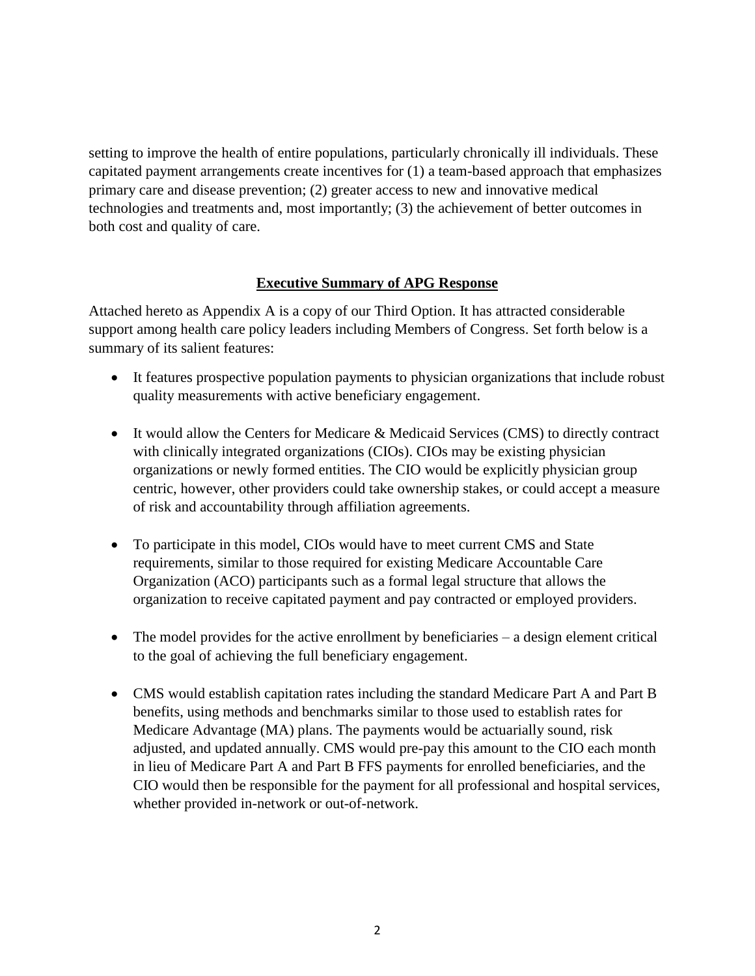setting to improve the health of entire populations, particularly chronically ill individuals. These capitated payment arrangements create incentives for (1) a team-based approach that emphasizes primary care and disease prevention; (2) greater access to new and innovative medical technologies and treatments and, most importantly; (3) the achievement of better outcomes in both cost and quality of care.

#### **Executive Summary of APG Response**

Attached hereto as Appendix A is a copy of our Third Option. It has attracted considerable support among health care policy leaders including Members of Congress. Set forth below is a summary of its salient features:

- It features prospective population payments to physician organizations that include robust quality measurements with active beneficiary engagement.
- It would allow the Centers for Medicare & Medicaid Services (CMS) to directly contract with clinically integrated organizations (CIOs). CIOs may be existing physician organizations or newly formed entities. The CIO would be explicitly physician group centric, however, other providers could take ownership stakes, or could accept a measure of risk and accountability through affiliation agreements.
- To participate in this model, CIOs would have to meet current CMS and State requirements, similar to those required for existing Medicare Accountable Care Organization (ACO) participants such as a formal legal structure that allows the organization to receive capitated payment and pay contracted or employed providers.
- The model provides for the active enrollment by beneficiaries a design element critical to the goal of achieving the full beneficiary engagement.
- CMS would establish capitation rates including the standard Medicare Part A and Part B benefits, using methods and benchmarks similar to those used to establish rates for Medicare Advantage (MA) plans. The payments would be actuarially sound, risk adjusted, and updated annually. CMS would pre-pay this amount to the CIO each month in lieu of Medicare Part A and Part B FFS payments for enrolled beneficiaries, and the CIO would then be responsible for the payment for all professional and hospital services, whether provided in-network or out-of-network.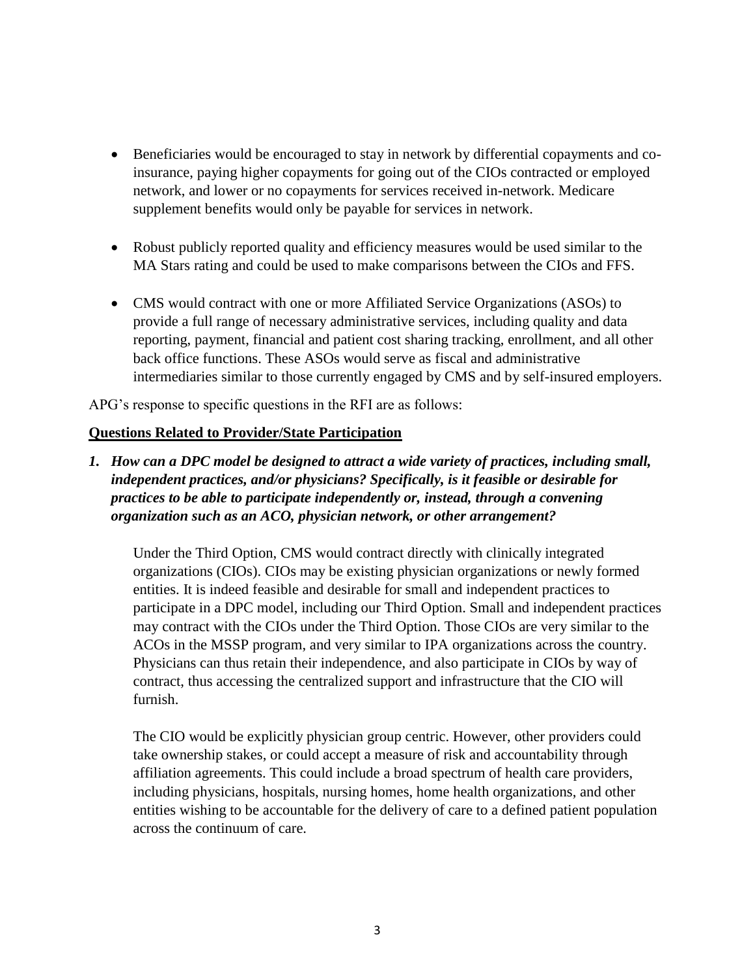- Beneficiaries would be encouraged to stay in network by differential copayments and coinsurance, paying higher copayments for going out of the CIOs contracted or employed network, and lower or no copayments for services received in-network. Medicare supplement benefits would only be payable for services in network.
- Robust publicly reported quality and efficiency measures would be used similar to the MA Stars rating and could be used to make comparisons between the CIOs and FFS.
- CMS would contract with one or more Affiliated Service Organizations (ASOs) to provide a full range of necessary administrative services, including quality and data reporting, payment, financial and patient cost sharing tracking, enrollment, and all other back office functions. These ASOs would serve as fiscal and administrative intermediaries similar to those currently engaged by CMS and by self-insured employers.

APG's response to specific questions in the RFI are as follows:

### **Questions Related to Provider/State Participation**

*1. How can a DPC model be designed to attract a wide variety of practices, including small, independent practices, and/or physicians? Specifically, is it feasible or desirable for practices to be able to participate independently or, instead, through a convening organization such as an ACO, physician network, or other arrangement?* 

Under the Third Option, CMS would contract directly with clinically integrated organizations (CIOs). CIOs may be existing physician organizations or newly formed entities. It is indeed feasible and desirable for small and independent practices to participate in a DPC model, including our Third Option. Small and independent practices may contract with the CIOs under the Third Option. Those CIOs are very similar to the ACOs in the MSSP program, and very similar to IPA organizations across the country. Physicians can thus retain their independence, and also participate in CIOs by way of contract, thus accessing the centralized support and infrastructure that the CIO will furnish.

The CIO would be explicitly physician group centric. However, other providers could take ownership stakes, or could accept a measure of risk and accountability through affiliation agreements. This could include a broad spectrum of health care providers, including physicians, hospitals, nursing homes, home health organizations, and other entities wishing to be accountable for the delivery of care to a defined patient population across the continuum of care.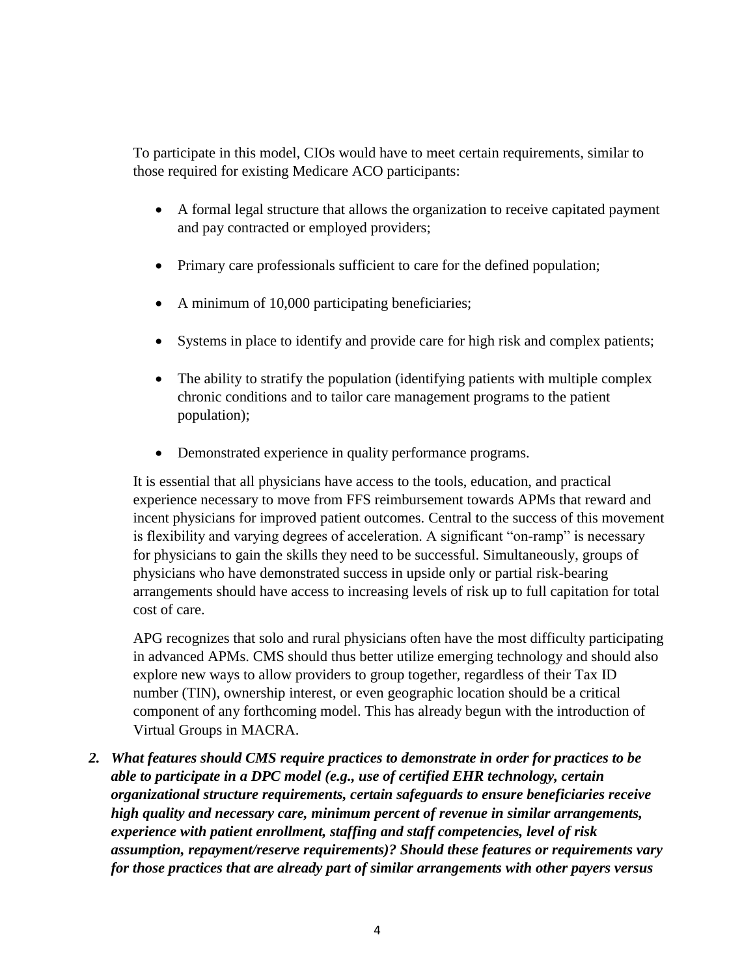To participate in this model, CIOs would have to meet certain requirements, similar to those required for existing Medicare ACO participants:

- A formal legal structure that allows the organization to receive capitated payment and pay contracted or employed providers;
- Primary care professionals sufficient to care for the defined population;
- A minimum of 10,000 participating beneficiaries;
- Systems in place to identify and provide care for high risk and complex patients;
- The ability to stratify the population (identifying patients with multiple complex chronic conditions and to tailor care management programs to the patient population);
- Demonstrated experience in quality performance programs.

It is essential that all physicians have access to the tools, education, and practical experience necessary to move from FFS reimbursement towards APMs that reward and incent physicians for improved patient outcomes. Central to the success of this movement is flexibility and varying degrees of acceleration. A significant "on-ramp" is necessary for physicians to gain the skills they need to be successful. Simultaneously, groups of physicians who have demonstrated success in upside only or partial risk-bearing arrangements should have access to increasing levels of risk up to full capitation for total cost of care.

APG recognizes that solo and rural physicians often have the most difficulty participating in advanced APMs. CMS should thus better utilize emerging technology and should also explore new ways to allow providers to group together, regardless of their Tax ID number (TIN), ownership interest, or even geographic location should be a critical component of any forthcoming model. This has already begun with the introduction of Virtual Groups in MACRA.

*2. What features should CMS require practices to demonstrate in order for practices to be able to participate in a DPC model (e.g., use of certified EHR technology, certain organizational structure requirements, certain safeguards to ensure beneficiaries receive high quality and necessary care, minimum percent of revenue in similar arrangements, experience with patient enrollment, staffing and staff competencies, level of risk assumption, repayment/reserve requirements)? Should these features or requirements vary for those practices that are already part of similar arrangements with other payers versus*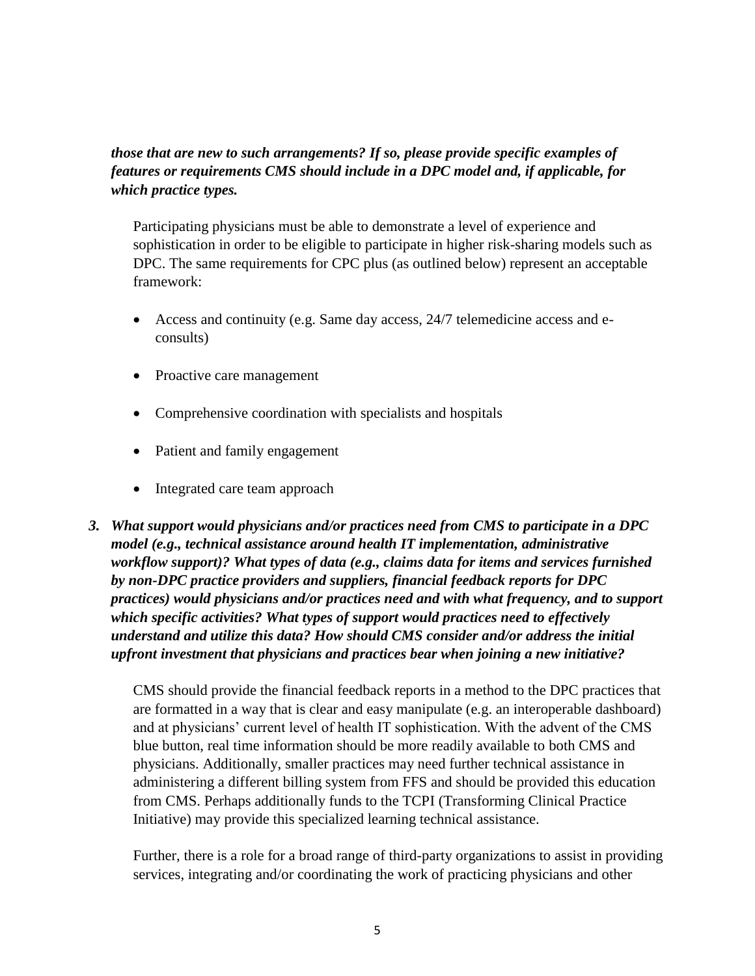# *those that are new to such arrangements? If so, please provide specific examples of features or requirements CMS should include in a DPC model and, if applicable, for which practice types.*

Participating physicians must be able to demonstrate a level of experience and sophistication in order to be eligible to participate in higher risk-sharing models such as DPC. The same requirements for CPC plus (as outlined below) represent an acceptable framework:

- Access and continuity (e.g. Same day access, 24/7 telemedicine access and econsults)
- Proactive care management
- Comprehensive coordination with specialists and hospitals
- Patient and family engagement
- Integrated care team approach
- *3. What support would physicians and/or practices need from CMS to participate in a DPC model (e.g., technical assistance around health IT implementation, administrative workflow support)? What types of data (e.g., claims data for items and services furnished by non-DPC practice providers and suppliers, financial feedback reports for DPC practices) would physicians and/or practices need and with what frequency, and to support which specific activities? What types of support would practices need to effectively understand and utilize this data? How should CMS consider and/or address the initial upfront investment that physicians and practices bear when joining a new initiative?*

CMS should provide the financial feedback reports in a method to the DPC practices that are formatted in a way that is clear and easy manipulate (e.g. an interoperable dashboard) and at physicians' current level of health IT sophistication. With the advent of the CMS blue button, real time information should be more readily available to both CMS and physicians. Additionally, smaller practices may need further technical assistance in administering a different billing system from FFS and should be provided this education from CMS. Perhaps additionally funds to the TCPI (Transforming Clinical Practice Initiative) may provide this specialized learning technical assistance.

Further, there is a role for a broad range of third-party organizations to assist in providing services, integrating and/or coordinating the work of practicing physicians and other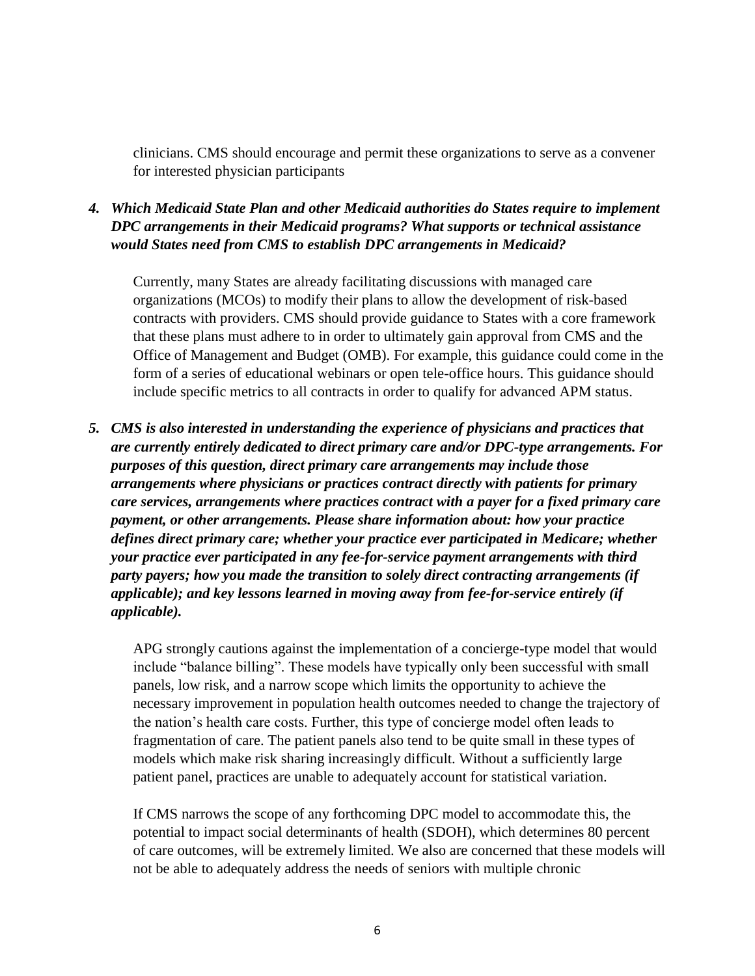clinicians. CMS should encourage and permit these organizations to serve as a convener for interested physician participants

## *4. Which Medicaid State Plan and other Medicaid authorities do States require to implement DPC arrangements in their Medicaid programs? What supports or technical assistance would States need from CMS to establish DPC arrangements in Medicaid?*

Currently, many States are already facilitating discussions with managed care organizations (MCOs) to modify their plans to allow the development of risk-based contracts with providers. CMS should provide guidance to States with a core framework that these plans must adhere to in order to ultimately gain approval from CMS and the Office of Management and Budget (OMB). For example, this guidance could come in the form of a series of educational webinars or open tele-office hours. This guidance should include specific metrics to all contracts in order to qualify for advanced APM status.

*5. CMS is also interested in understanding the experience of physicians and practices that are currently entirely dedicated to direct primary care and/or DPC-type arrangements. For purposes of this question, direct primary care arrangements may include those arrangements where physicians or practices contract directly with patients for primary care services, arrangements where practices contract with a payer for a fixed primary care payment, or other arrangements. Please share information about: how your practice defines direct primary care; whether your practice ever participated in Medicare; whether your practice ever participated in any fee-for-service payment arrangements with third party payers; how you made the transition to solely direct contracting arrangements (if applicable); and key lessons learned in moving away from fee-for-service entirely (if applicable).*

APG strongly cautions against the implementation of a concierge-type model that would include "balance billing". These models have typically only been successful with small panels, low risk, and a narrow scope which limits the opportunity to achieve the necessary improvement in population health outcomes needed to change the trajectory of the nation's health care costs. Further, this type of concierge model often leads to fragmentation of care. The patient panels also tend to be quite small in these types of models which make risk sharing increasingly difficult. Without a sufficiently large patient panel, practices are unable to adequately account for statistical variation.

If CMS narrows the scope of any forthcoming DPC model to accommodate this, the potential to impact social determinants of health (SDOH), which determines 80 percent of care outcomes, will be extremely limited. We also are concerned that these models will not be able to adequately address the needs of seniors with multiple chronic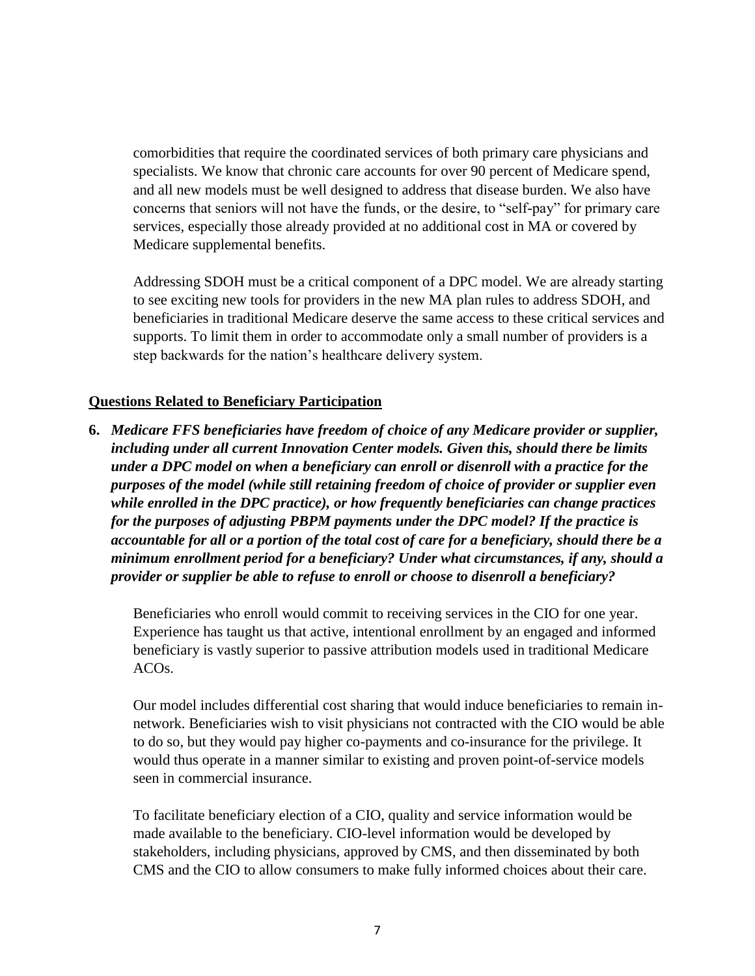comorbidities that require the coordinated services of both primary care physicians and specialists. We know that chronic care accounts for over 90 percent of Medicare spend, and all new models must be well designed to address that disease burden. We also have concerns that seniors will not have the funds, or the desire, to "self-pay" for primary care services, especially those already provided at no additional cost in MA or covered by Medicare supplemental benefits.

Addressing SDOH must be a critical component of a DPC model. We are already starting to see exciting new tools for providers in the new MA plan rules to address SDOH, and beneficiaries in traditional Medicare deserve the same access to these critical services and supports. To limit them in order to accommodate only a small number of providers is a step backwards for the nation's healthcare delivery system.

#### **Questions Related to Beneficiary Participation**

**6.** *Medicare FFS beneficiaries have freedom of choice of any Medicare provider or supplier, including under all current Innovation Center models. Given this, should there be limits under a DPC model on when a beneficiary can enroll or disenroll with a practice for the purposes of the model (while still retaining freedom of choice of provider or supplier even while enrolled in the DPC practice), or how frequently beneficiaries can change practices for the purposes of adjusting PBPM payments under the DPC model? If the practice is accountable for all or a portion of the total cost of care for a beneficiary, should there be a minimum enrollment period for a beneficiary? Under what circumstances, if any, should a provider or supplier be able to refuse to enroll or choose to disenroll a beneficiary?*

Beneficiaries who enroll would commit to receiving services in the CIO for one year. Experience has taught us that active, intentional enrollment by an engaged and informed beneficiary is vastly superior to passive attribution models used in traditional Medicare ACOs.

Our model includes differential cost sharing that would induce beneficiaries to remain innetwork. Beneficiaries wish to visit physicians not contracted with the CIO would be able to do so, but they would pay higher co-payments and co-insurance for the privilege. It would thus operate in a manner similar to existing and proven point-of-service models seen in commercial insurance.

To facilitate beneficiary election of a CIO, quality and service information would be made available to the beneficiary. CIO-level information would be developed by stakeholders, including physicians, approved by CMS, and then disseminated by both CMS and the CIO to allow consumers to make fully informed choices about their care.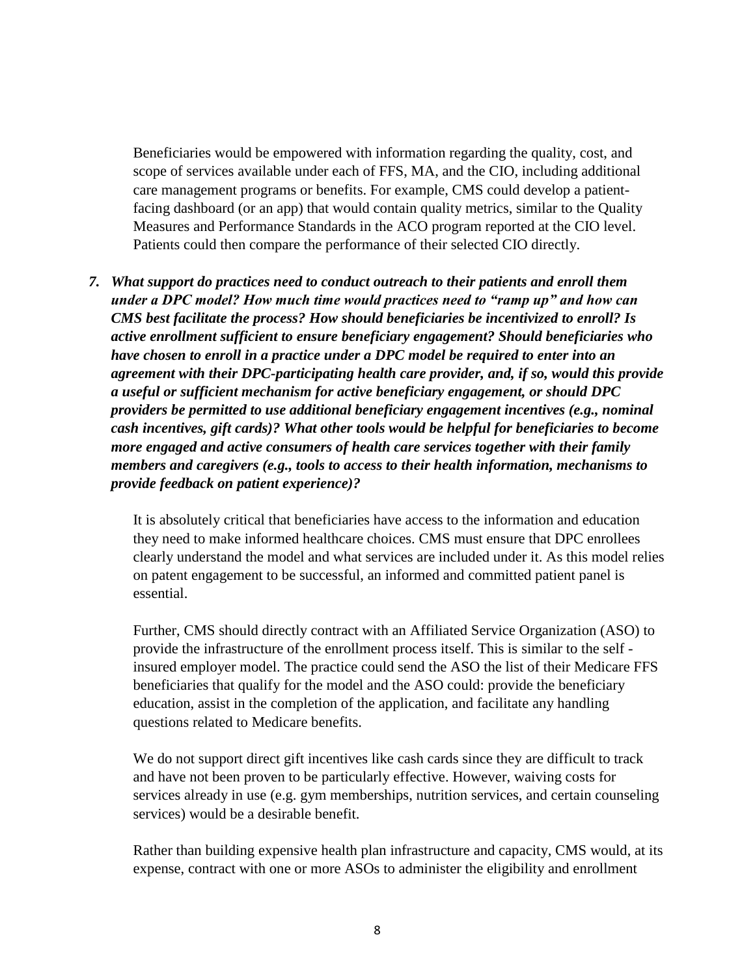Beneficiaries would be empowered with information regarding the quality, cost, and scope of services available under each of FFS, MA, and the CIO, including additional care management programs or benefits. For example, CMS could develop a patientfacing dashboard (or an app) that would contain quality metrics, similar to the Quality Measures and Performance Standards in the ACO program reported at the CIO level. Patients could then compare the performance of their selected CIO directly.

*7. What support do practices need to conduct outreach to their patients and enroll them under a DPC model? How much time would practices need to "ramp up" and how can CMS best facilitate the process? How should beneficiaries be incentivized to enroll? Is active enrollment sufficient to ensure beneficiary engagement? Should beneficiaries who have chosen to enroll in a practice under a DPC model be required to enter into an agreement with their DPC-participating health care provider, and, if so, would this provide a useful or sufficient mechanism for active beneficiary engagement, or should DPC providers be permitted to use additional beneficiary engagement incentives (e.g., nominal cash incentives, gift cards)? What other tools would be helpful for beneficiaries to become more engaged and active consumers of health care services together with their family members and caregivers (e.g., tools to access to their health information, mechanisms to provide feedback on patient experience)?* 

It is absolutely critical that beneficiaries have access to the information and education they need to make informed healthcare choices. CMS must ensure that DPC enrollees clearly understand the model and what services are included under it. As this model relies on patent engagement to be successful, an informed and committed patient panel is essential.

Further, CMS should directly contract with an Affiliated Service Organization (ASO) to provide the infrastructure of the enrollment process itself. This is similar to the self insured employer model. The practice could send the ASO the list of their Medicare FFS beneficiaries that qualify for the model and the ASO could: provide the beneficiary education, assist in the completion of the application, and facilitate any handling questions related to Medicare benefits.

We do not support direct gift incentives like cash cards since they are difficult to track and have not been proven to be particularly effective. However, waiving costs for services already in use (e.g. gym memberships, nutrition services, and certain counseling services) would be a desirable benefit.

Rather than building expensive health plan infrastructure and capacity, CMS would, at its expense, contract with one or more ASOs to administer the eligibility and enrollment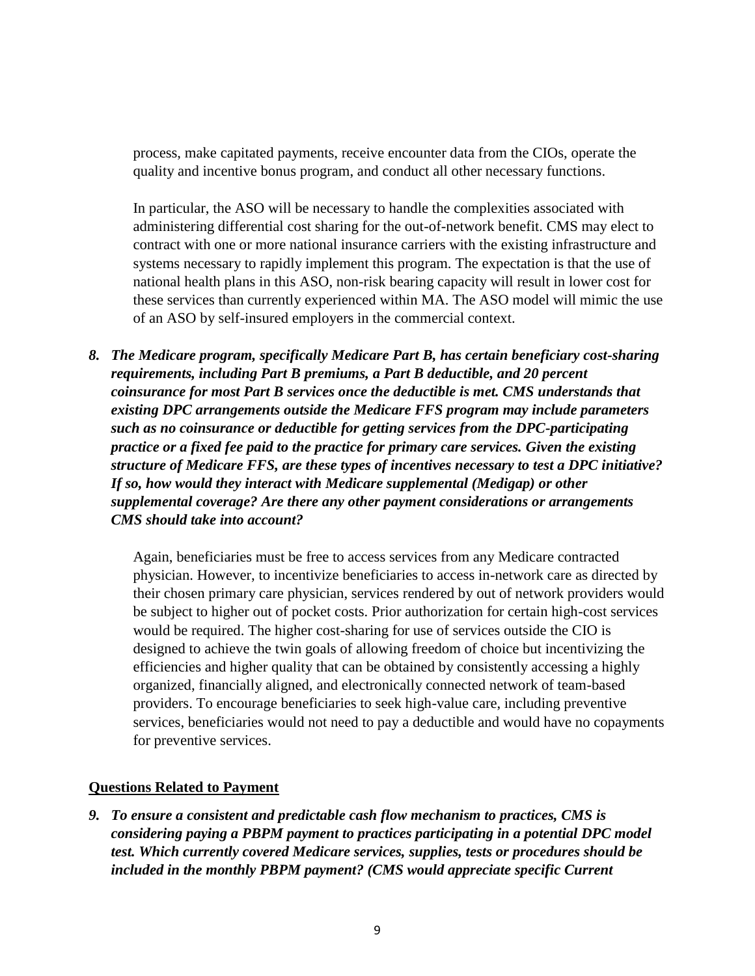process, make capitated payments, receive encounter data from the CIOs, operate the quality and incentive bonus program, and conduct all other necessary functions.

In particular, the ASO will be necessary to handle the complexities associated with administering differential cost sharing for the out-of-network benefit. CMS may elect to contract with one or more national insurance carriers with the existing infrastructure and systems necessary to rapidly implement this program. The expectation is that the use of national health plans in this ASO, non-risk bearing capacity will result in lower cost for these services than currently experienced within MA. The ASO model will mimic the use of an ASO by self-insured employers in the commercial context.

*8. The Medicare program, specifically Medicare Part B, has certain beneficiary cost-sharing requirements, including Part B premiums, a Part B deductible, and 20 percent coinsurance for most Part B services once the deductible is met. CMS understands that existing DPC arrangements outside the Medicare FFS program may include parameters such as no coinsurance or deductible for getting services from the DPC-participating practice or a fixed fee paid to the practice for primary care services. Given the existing structure of Medicare FFS, are these types of incentives necessary to test a DPC initiative? If so, how would they interact with Medicare supplemental (Medigap) or other supplemental coverage? Are there any other payment considerations or arrangements CMS should take into account?*

Again, beneficiaries must be free to access services from any Medicare contracted physician. However, to incentivize beneficiaries to access in-network care as directed by their chosen primary care physician, services rendered by out of network providers would be subject to higher out of pocket costs. Prior authorization for certain high-cost services would be required. The higher cost-sharing for use of services outside the CIO is designed to achieve the twin goals of allowing freedom of choice but incentivizing the efficiencies and higher quality that can be obtained by consistently accessing a highly organized, financially aligned, and electronically connected network of team-based providers. To encourage beneficiaries to seek high-value care, including preventive services, beneficiaries would not need to pay a deductible and would have no copayments for preventive services.

#### **Questions Related to Payment**

*9. To ensure a consistent and predictable cash flow mechanism to practices, CMS is considering paying a PBPM payment to practices participating in a potential DPC model test. Which currently covered Medicare services, supplies, tests or procedures should be included in the monthly PBPM payment? (CMS would appreciate specific Current*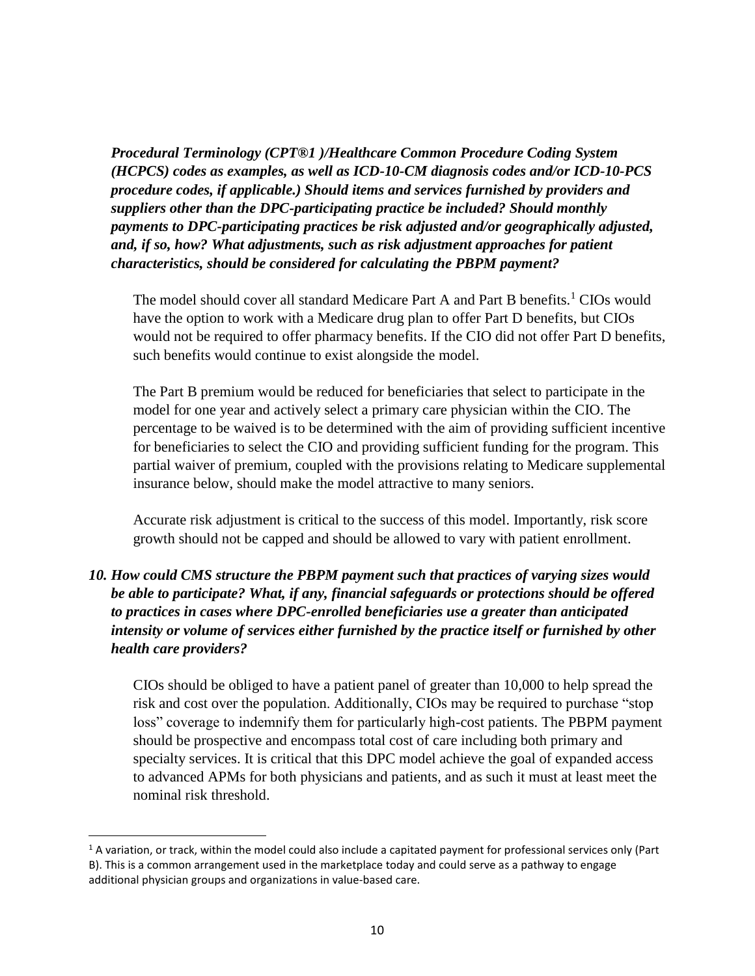*Procedural Terminology (CPT®1 )/Healthcare Common Procedure Coding System (HCPCS) codes as examples, as well as ICD-10-CM diagnosis codes and/or ICD-10-PCS procedure codes, if applicable.) Should items and services furnished by providers and suppliers other than the DPC-participating practice be included? Should monthly payments to DPC-participating practices be risk adjusted and/or geographically adjusted, and, if so, how? What adjustments, such as risk adjustment approaches for patient characteristics, should be considered for calculating the PBPM payment?*

The model should cover all standard Medicare Part A and Part B benefits.<sup>1</sup> CIOs would have the option to work with a Medicare drug plan to offer Part D benefits, but CIOs would not be required to offer pharmacy benefits. If the CIO did not offer Part D benefits, such benefits would continue to exist alongside the model.

The Part B premium would be reduced for beneficiaries that select to participate in the model for one year and actively select a primary care physician within the CIO. The percentage to be waived is to be determined with the aim of providing sufficient incentive for beneficiaries to select the CIO and providing sufficient funding for the program. This partial waiver of premium, coupled with the provisions relating to Medicare supplemental insurance below, should make the model attractive to many seniors.

Accurate risk adjustment is critical to the success of this model. Importantly, risk score growth should not be capped and should be allowed to vary with patient enrollment.

## *10. How could CMS structure the PBPM payment such that practices of varying sizes would be able to participate? What, if any, financial safeguards or protections should be offered to practices in cases where DPC-enrolled beneficiaries use a greater than anticipated intensity or volume of services either furnished by the practice itself or furnished by other health care providers?*

CIOs should be obliged to have a patient panel of greater than 10,000 to help spread the risk and cost over the population. Additionally, CIOs may be required to purchase "stop loss" coverage to indemnify them for particularly high-cost patients. The PBPM payment should be prospective and encompass total cost of care including both primary and specialty services. It is critical that this DPC model achieve the goal of expanded access to advanced APMs for both physicians and patients, and as such it must at least meet the nominal risk threshold.

 $\overline{a}$ 

 $1$  A variation, or track, within the model could also include a capitated payment for professional services only (Part B). This is a common arrangement used in the marketplace today and could serve as a pathway to engage additional physician groups and organizations in value-based care.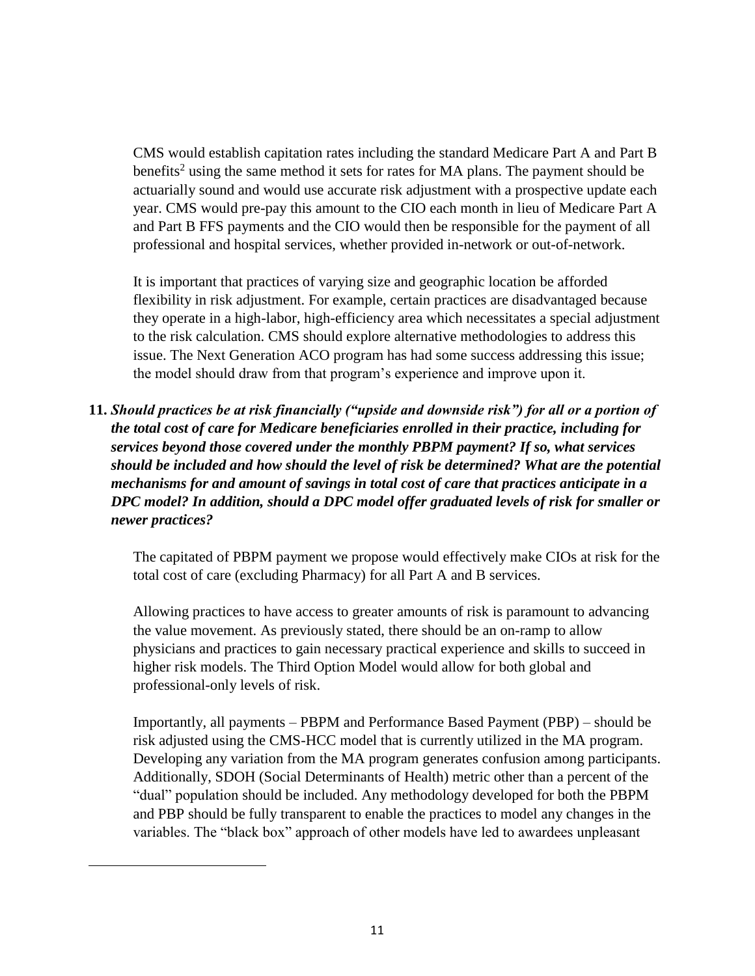CMS would establish capitation rates including the standard Medicare Part A and Part B benefits<sup>2</sup> using the same method it sets for rates for MA plans. The payment should be actuarially sound and would use accurate risk adjustment with a prospective update each year. CMS would pre-pay this amount to the CIO each month in lieu of Medicare Part A and Part B FFS payments and the CIO would then be responsible for the payment of all professional and hospital services, whether provided in-network or out-of-network.

It is important that practices of varying size and geographic location be afforded flexibility in risk adjustment. For example, certain practices are disadvantaged because they operate in a high-labor, high-efficiency area which necessitates a special adjustment to the risk calculation. CMS should explore alternative methodologies to address this issue. The Next Generation ACO program has had some success addressing this issue; the model should draw from that program's experience and improve upon it.

**11.** *Should practices be at risk financially ("upside and downside risk") for all or a portion of the total cost of care for Medicare beneficiaries enrolled in their practice, including for services beyond those covered under the monthly PBPM payment? If so, what services should be included and how should the level of risk be determined? What are the potential mechanisms for and amount of savings in total cost of care that practices anticipate in a DPC model? In addition, should a DPC model offer graduated levels of risk for smaller or newer practices?*

The capitated of PBPM payment we propose would effectively make CIOs at risk for the total cost of care (excluding Pharmacy) for all Part A and B services.

Allowing practices to have access to greater amounts of risk is paramount to advancing the value movement. As previously stated, there should be an on-ramp to allow physicians and practices to gain necessary practical experience and skills to succeed in higher risk models. The Third Option Model would allow for both global and professional-only levels of risk.

Importantly, all payments – PBPM and Performance Based Payment (PBP) – should be risk adjusted using the CMS-HCC model that is currently utilized in the MA program. Developing any variation from the MA program generates confusion among participants. Additionally, SDOH (Social Determinants of Health) metric other than a percent of the "dual" population should be included. Any methodology developed for both the PBPM and PBP should be fully transparent to enable the practices to model any changes in the variables. The "black box" approach of other models have led to awardees unpleasant

 $\overline{\phantom{a}}$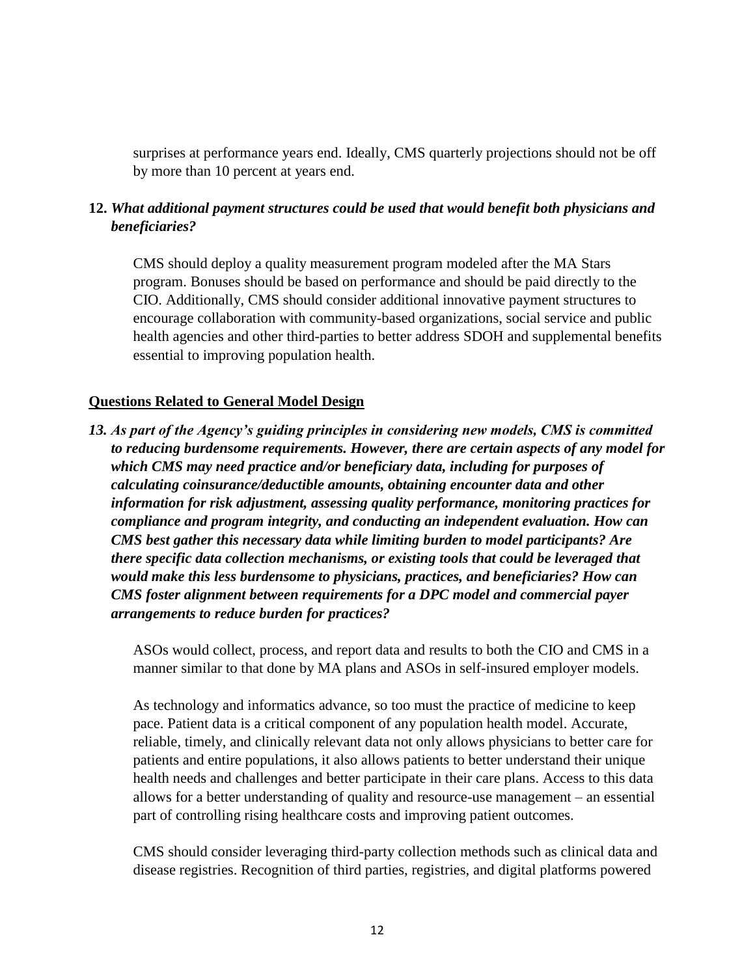surprises at performance years end. Ideally, CMS quarterly projections should not be off by more than 10 percent at years end.

## **12.** *What additional payment structures could be used that would benefit both physicians and beneficiaries?*

CMS should deploy a quality measurement program modeled after the MA Stars program. Bonuses should be based on performance and should be paid directly to the CIO. Additionally, CMS should consider additional innovative payment structures to encourage collaboration with community-based organizations, social service and public health agencies and other third-parties to better address SDOH and supplemental benefits essential to improving population health.

#### **Questions Related to General Model Design**

*13. As part of the Agency's guiding principles in considering new models, CMS is committed to reducing burdensome requirements. However, there are certain aspects of any model for which CMS may need practice and/or beneficiary data, including for purposes of calculating coinsurance/deductible amounts, obtaining encounter data and other information for risk adjustment, assessing quality performance, monitoring practices for compliance and program integrity, and conducting an independent evaluation. How can CMS best gather this necessary data while limiting burden to model participants? Are there specific data collection mechanisms, or existing tools that could be leveraged that would make this less burdensome to physicians, practices, and beneficiaries? How can CMS foster alignment between requirements for a DPC model and commercial payer arrangements to reduce burden for practices?* 

ASOs would collect, process, and report data and results to both the CIO and CMS in a manner similar to that done by MA plans and ASOs in self-insured employer models.

As technology and informatics advance, so too must the practice of medicine to keep pace. Patient data is a critical component of any population health model. Accurate, reliable, timely, and clinically relevant data not only allows physicians to better care for patients and entire populations, it also allows patients to better understand their unique health needs and challenges and better participate in their care plans. Access to this data allows for a better understanding of quality and resource-use management – an essential part of controlling rising healthcare costs and improving patient outcomes.

CMS should consider leveraging third-party collection methods such as clinical data and disease registries. Recognition of third parties, registries, and digital platforms powered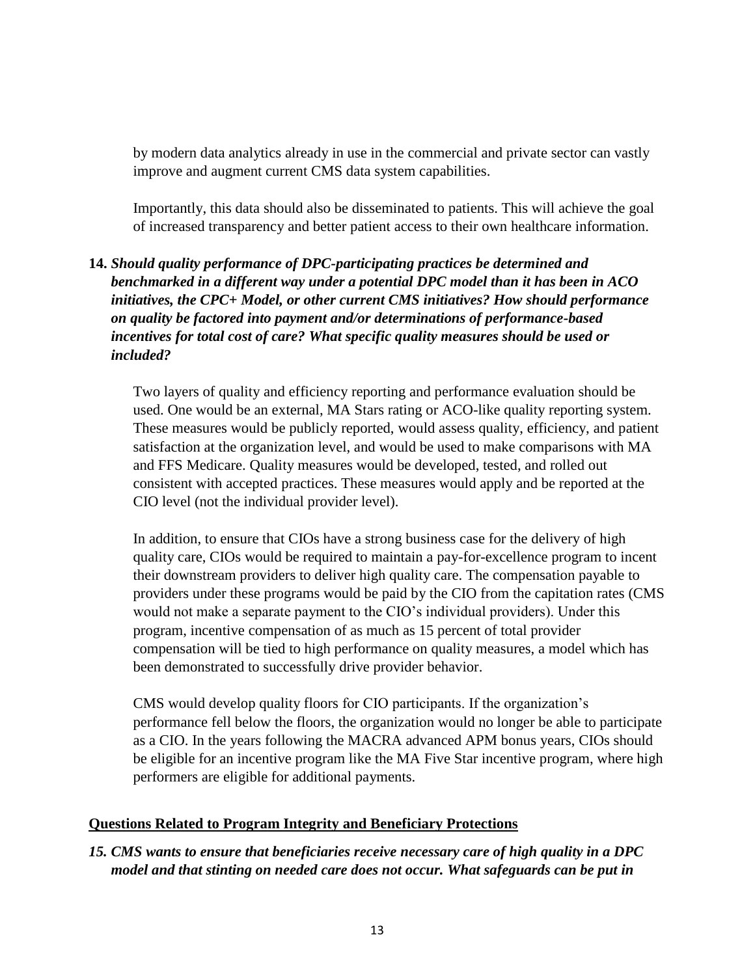by modern data analytics already in use in the commercial and private sector can vastly improve and augment current CMS data system capabilities.

Importantly, this data should also be disseminated to patients. This will achieve the goal of increased transparency and better patient access to their own healthcare information.

# **14.** *Should quality performance of DPC-participating practices be determined and benchmarked in a different way under a potential DPC model than it has been in ACO initiatives, the CPC+ Model, or other current CMS initiatives? How should performance on quality be factored into payment and/or determinations of performance-based incentives for total cost of care? What specific quality measures should be used or included?*

Two layers of quality and efficiency reporting and performance evaluation should be used. One would be an external, MA Stars rating or ACO-like quality reporting system. These measures would be publicly reported, would assess quality, efficiency, and patient satisfaction at the organization level, and would be used to make comparisons with MA and FFS Medicare. Quality measures would be developed, tested, and rolled out consistent with accepted practices. These measures would apply and be reported at the CIO level (not the individual provider level).

In addition, to ensure that CIOs have a strong business case for the delivery of high quality care, CIOs would be required to maintain a pay-for-excellence program to incent their downstream providers to deliver high quality care. The compensation payable to providers under these programs would be paid by the CIO from the capitation rates (CMS would not make a separate payment to the CIO's individual providers). Under this program, incentive compensation of as much as 15 percent of total provider compensation will be tied to high performance on quality measures, a model which has been demonstrated to successfully drive provider behavior.

CMS would develop quality floors for CIO participants. If the organization's performance fell below the floors, the organization would no longer be able to participate as a CIO. In the years following the MACRA advanced APM bonus years, CIOs should be eligible for an incentive program like the MA Five Star incentive program, where high performers are eligible for additional payments.

### **Questions Related to Program Integrity and Beneficiary Protections**

## *15. CMS wants to ensure that beneficiaries receive necessary care of high quality in a DPC model and that stinting on needed care does not occur. What safeguards can be put in*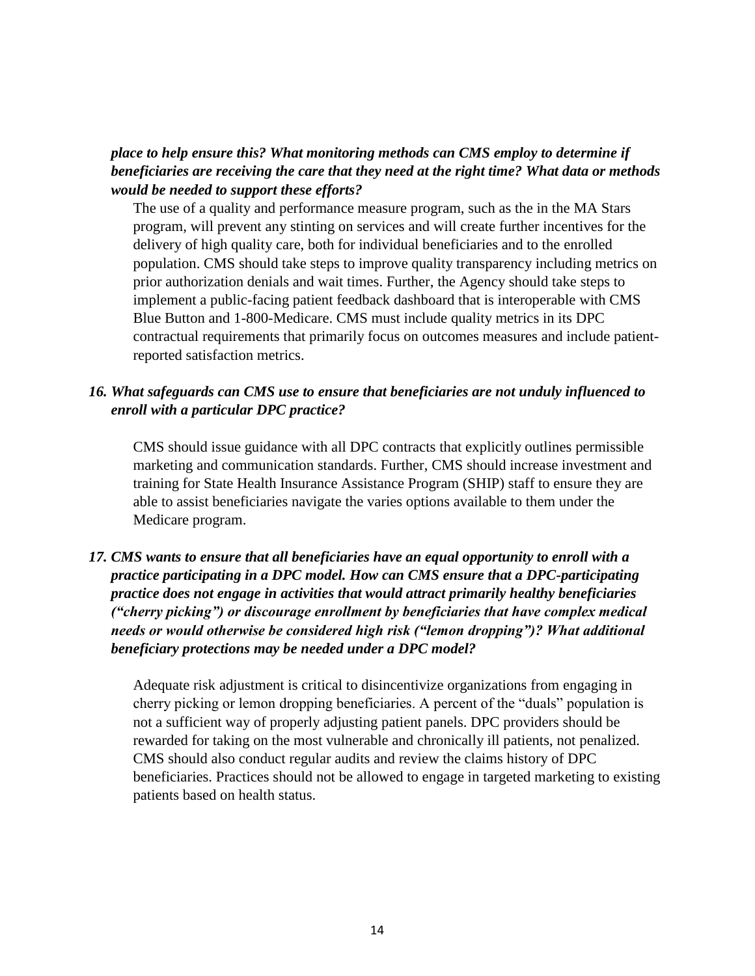## *place to help ensure this? What monitoring methods can CMS employ to determine if beneficiaries are receiving the care that they need at the right time? What data or methods would be needed to support these efforts?*

The use of a quality and performance measure program, such as the in the MA Stars program, will prevent any stinting on services and will create further incentives for the delivery of high quality care, both for individual beneficiaries and to the enrolled population. CMS should take steps to improve quality transparency including metrics on prior authorization denials and wait times. Further, the Agency should take steps to implement a public-facing patient feedback dashboard that is interoperable with CMS Blue Button and 1-800-Medicare. CMS must include quality metrics in its DPC contractual requirements that primarily focus on outcomes measures and include patientreported satisfaction metrics.

## *16. What safeguards can CMS use to ensure that beneficiaries are not unduly influenced to enroll with a particular DPC practice?*

CMS should issue guidance with all DPC contracts that explicitly outlines permissible marketing and communication standards. Further, CMS should increase investment and training for State Health Insurance Assistance Program (SHIP) staff to ensure they are able to assist beneficiaries navigate the varies options available to them under the Medicare program.

# *17. CMS wants to ensure that all beneficiaries have an equal opportunity to enroll with a practice participating in a DPC model. How can CMS ensure that a DPC-participating practice does not engage in activities that would attract primarily healthy beneficiaries ("cherry picking") or discourage enrollment by beneficiaries that have complex medical needs or would otherwise be considered high risk ("lemon dropping")? What additional beneficiary protections may be needed under a DPC model?*

Adequate risk adjustment is critical to disincentivize organizations from engaging in cherry picking or lemon dropping beneficiaries. A percent of the "duals" population is not a sufficient way of properly adjusting patient panels. DPC providers should be rewarded for taking on the most vulnerable and chronically ill patients, not penalized. CMS should also conduct regular audits and review the claims history of DPC beneficiaries. Practices should not be allowed to engage in targeted marketing to existing patients based on health status.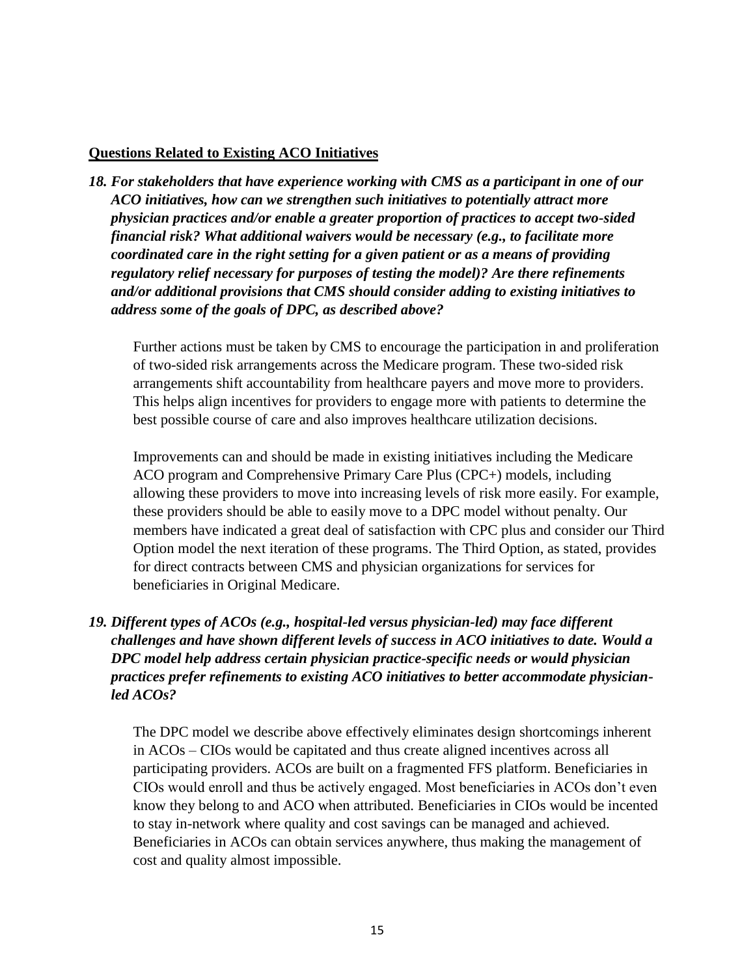#### **Questions Related to Existing ACO Initiatives**

*18. For stakeholders that have experience working with CMS as a participant in one of our ACO initiatives, how can we strengthen such initiatives to potentially attract more physician practices and/or enable a greater proportion of practices to accept two-sided financial risk? What additional waivers would be necessary (e.g., to facilitate more coordinated care in the right setting for a given patient or as a means of providing regulatory relief necessary for purposes of testing the model)? Are there refinements and/or additional provisions that CMS should consider adding to existing initiatives to address some of the goals of DPC, as described above?* 

Further actions must be taken by CMS to encourage the participation in and proliferation of two-sided risk arrangements across the Medicare program. These two-sided risk arrangements shift accountability from healthcare payers and move more to providers. This helps align incentives for providers to engage more with patients to determine the best possible course of care and also improves healthcare utilization decisions.

Improvements can and should be made in existing initiatives including the Medicare ACO program and Comprehensive Primary Care Plus (CPC+) models, including allowing these providers to move into increasing levels of risk more easily. For example, these providers should be able to easily move to a DPC model without penalty. Our members have indicated a great deal of satisfaction with CPC plus and consider our Third Option model the next iteration of these programs. The Third Option, as stated, provides for direct contracts between CMS and physician organizations for services for beneficiaries in Original Medicare.

# *19. Different types of ACOs (e.g., hospital-led versus physician-led) may face different challenges and have shown different levels of success in ACO initiatives to date. Would a DPC model help address certain physician practice-specific needs or would physician practices prefer refinements to existing ACO initiatives to better accommodate physicianled ACOs?*

The DPC model we describe above effectively eliminates design shortcomings inherent in ACOs – CIOs would be capitated and thus create aligned incentives across all participating providers. ACOs are built on a fragmented FFS platform. Beneficiaries in CIOs would enroll and thus be actively engaged. Most beneficiaries in ACOs don't even know they belong to and ACO when attributed. Beneficiaries in CIOs would be incented to stay in-network where quality and cost savings can be managed and achieved. Beneficiaries in ACOs can obtain services anywhere, thus making the management of cost and quality almost impossible.